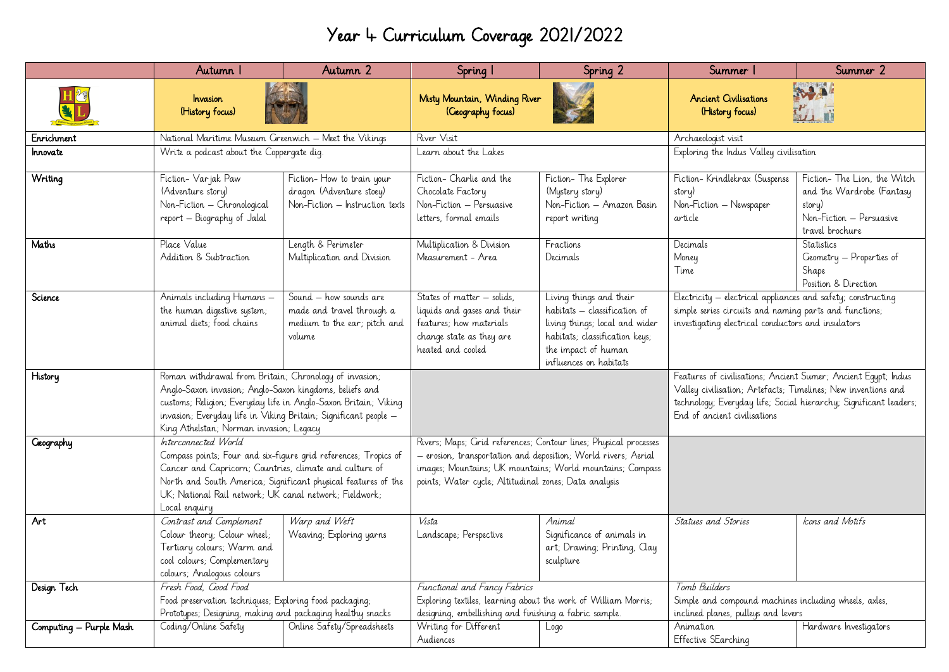## Year 4 Curriculum Coverage 2021/2022

|                         | Autumn I                                                                                                                                                                                                                                                                                           | Autumn 2                                                                                      | Spring I                                                                                                                                                                                                                                                 | Spring 2                                                                                                                                                                     | Summer                                                                                                                                                                                                                               | Summer 2                                                                                                           |
|-------------------------|----------------------------------------------------------------------------------------------------------------------------------------------------------------------------------------------------------------------------------------------------------------------------------------------------|-----------------------------------------------------------------------------------------------|----------------------------------------------------------------------------------------------------------------------------------------------------------------------------------------------------------------------------------------------------------|------------------------------------------------------------------------------------------------------------------------------------------------------------------------------|--------------------------------------------------------------------------------------------------------------------------------------------------------------------------------------------------------------------------------------|--------------------------------------------------------------------------------------------------------------------|
|                         | <i><b>Invasion</b></i><br>(History focus)                                                                                                                                                                                                                                                          |                                                                                               | Misty Mountain, Winding River<br>(Geography focus)                                                                                                                                                                                                       |                                                                                                                                                                              | <b>Ancient Civilisations</b><br>(History focus)                                                                                                                                                                                      | <b>BAAL</b>                                                                                                        |
| Enrichment              | National Maritime Museum Greenwich - Meet the Vikings                                                                                                                                                                                                                                              |                                                                                               | River Visit                                                                                                                                                                                                                                              |                                                                                                                                                                              | Archaeologist visit                                                                                                                                                                                                                  |                                                                                                                    |
| Innovate                | Write a podcast about the Coppergate dig.                                                                                                                                                                                                                                                          |                                                                                               | Learn about the Lakes                                                                                                                                                                                                                                    |                                                                                                                                                                              | Exploring the <i>Indus</i> Valley civilisation                                                                                                                                                                                       |                                                                                                                    |
| Writing                 | Fiction-Varjak Paw<br>(Adventure story)<br>Non-Fiction - Chronological<br>report - Biography of Jalal                                                                                                                                                                                              | Fiction-How to train your<br>dragon (Adventure stoey)<br>Non-Fiction - Instruction texts      | Fiction- Charlie and the<br>Chocolate Factory<br>Non-Fiction - Persuasive<br>letters, formal emails                                                                                                                                                      | Fiction-The Explorer<br>(Mystery story)<br>Non-Fiction - Amazon Basin<br>report writing                                                                                      | Fiction-Krindlekrax (Suspense<br>story)<br>Non-Fiction - Newspaper<br>article                                                                                                                                                        | Fiction- The Lion, the Witch<br>and the Wardrobe (Fantasy<br>story)<br>Non-Fiction – Persuasive<br>travel brochure |
| Maths                   | Place Value<br>Addition & Subtraction                                                                                                                                                                                                                                                              | Length & Perimeter<br>Multiplication and Division                                             | Multiplication & Division<br>Measurement - Area                                                                                                                                                                                                          | Fractions<br>Decimals                                                                                                                                                        | Decimals<br>Money<br>Time                                                                                                                                                                                                            | Statistics<br>Geometry - Properties of<br>Shape<br>Position & Direction                                            |
| Science                 | Animals including Humans -<br>the human digestive system;<br>animal diets; food chains                                                                                                                                                                                                             | Sound – how sounds are<br>made and travel through a<br>medium to the ear; pitch and<br>volume | States of matter – solids,<br>liquids and gases and their<br>features; how materials<br>change state as they are<br>heated and cooled                                                                                                                    | Living things and their<br>habitats - classification of<br>living things; local and wider<br>habitats; classification keys;<br>the impact of human<br>influences on habitats | Electricity – electrical appliances and safety; constructing<br>simple series circuits and naming parts and functions;<br>investigating electrical conductors and insulators                                                         |                                                                                                                    |
| History                 | Roman withdrawal from Britain; Chronology of invasion;<br>Anglo-Saxon invasion; Anglo-Saxon kingdoms, beliefs and<br>customs; Religion; Everyday life in Anglo-Saxon Britain; Viking<br>invasion; Everyday life in Viking Britain; Significant people -<br>King Athelstan; Norman invasion; Legacy |                                                                                               |                                                                                                                                                                                                                                                          |                                                                                                                                                                              | Features of civilisations; Ancient Sumer; Ancient Egypt; Indus<br>Valley civilisation; Artefacts; Timelines; New inventions and<br>technology; Everyday life; Social hierarchy; Significant leaders;<br>End of ancient civilisations |                                                                                                                    |
| <b>Ceography</b>        | Interconnected World<br>Compass points; Four and six-figure grid references; Tropics of<br>Cancer and Capricorn; Countries, climate and culture of<br>North and South America; Significant physical features of the<br>UK; National Rail network; UK canal network; Fieldwork;<br>Local enquiry    |                                                                                               | Rivers; Maps; Grid references; Contour lines; Physical processes<br>- erosion, transportation and deposition, World rivers, Aerial<br>images; Mountains; UK mountains; World mountains; Compass<br>points; Water cycle; Altitudinal zones; Data analysis |                                                                                                                                                                              |                                                                                                                                                                                                                                      |                                                                                                                    |
| Art                     | Contrast and Complement<br>Colour theory; Colour wheel;<br>Tertiary colours; Warm and<br>cool colours; Complementary<br>colours; Analogous colours                                                                                                                                                 | Warp and Weft<br>Weaving; Exploring yarns                                                     | Vista<br>Landscape; Perspective                                                                                                                                                                                                                          | Animal<br>Significance of animals in<br>art; Drawing; Printing, Clay<br>sculpture                                                                                            | Statues and Stories                                                                                                                                                                                                                  | Icons and Motifs                                                                                                   |
| Design Tech             | Fresh Food, Good Food<br>Food preservation techniques; Exploring food packaging;<br>Prototypes; Designing, making and packaging healthy snacks                                                                                                                                                     |                                                                                               | Functional and Fancy Fabrics<br>Exploring textiles, learning about the work of William Morris;<br>designing, embellishing and finishing a fabric sample.                                                                                                 |                                                                                                                                                                              | Tomb Builders<br>Simple and compound machines including wheels, axles,<br>inclined planes, pulleys and levers                                                                                                                        |                                                                                                                    |
| Computing - Purple Mash | Coding/Online Safety                                                                                                                                                                                                                                                                               | Online Safety/Spreadsheets                                                                    | Writing for Different<br>Audiences                                                                                                                                                                                                                       | Logo                                                                                                                                                                         | Animation<br>Effective SEarching                                                                                                                                                                                                     | Hardware Investigators                                                                                             |